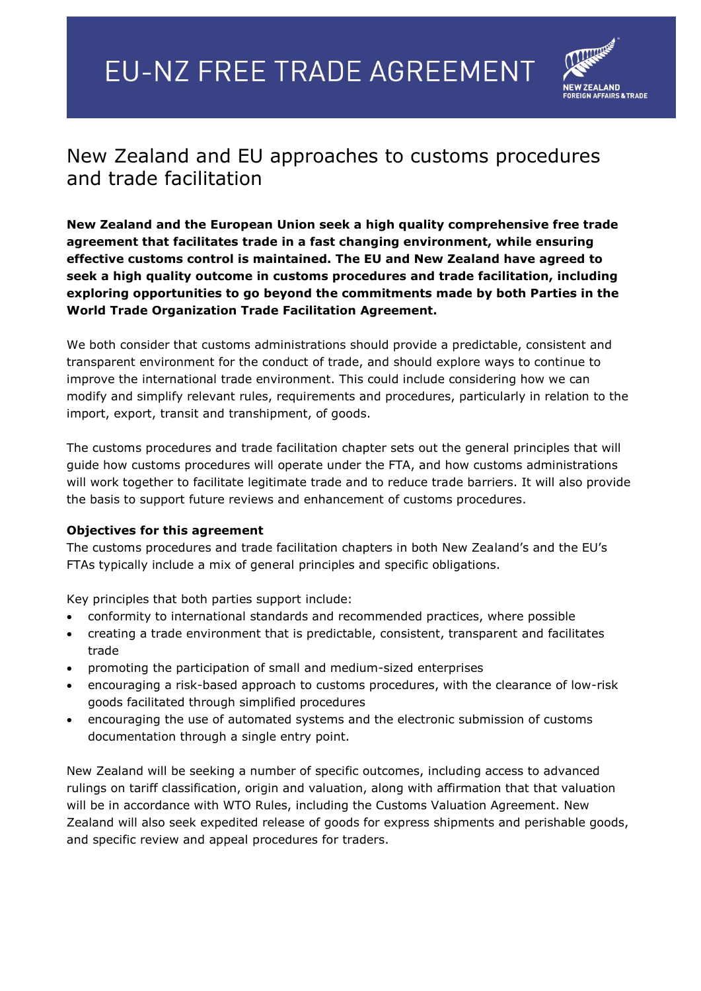## **EU-NZ FREE TRADE AGREEMENT**



## New Zealand and EU approaches to customs procedures and trade facilitation

**New Zealand and the European Union seek a high quality comprehensive free trade agreement that facilitates trade in a fast changing environment, while ensuring effective customs control is maintained. The EU and New Zealand have agreed to seek a high quality outcome in customs procedures and trade facilitation, including exploring opportunities to go beyond the commitments made by both Parties in the World Trade Organization Trade Facilitation Agreement.** 

We both consider that customs administrations should provide a predictable, consistent and transparent environment for the conduct of trade, and should explore ways to continue to improve the international trade environment. This could include considering how we can modify and simplify relevant rules, requirements and procedures, particularly in relation to the import, export, transit and transhipment, of goods.

The customs procedures and trade facilitation chapter sets out the general principles that will guide how customs procedures will operate under the FTA, and how customs administrations will work together to facilitate legitimate trade and to reduce trade barriers. It will also provide the basis to support future reviews and enhancement of customs procedures.

## **Objectives for this agreement**

The customs procedures and trade facilitation chapters in both New Zealand's and the EU's FTAs typically include a mix of general principles and specific obligations.

Key principles that both parties support include:

- conformity to international standards and recommended practices, where possible
- creating a trade environment that is predictable, consistent, transparent and facilitates trade
- promoting the participation of small and medium-sized enterprises
- encouraging a risk-based approach to customs procedures, with the clearance of low-risk goods facilitated through simplified procedures
- encouraging the use of automated systems and the electronic submission of customs documentation through a single entry point.

New Zealand will be seeking a number of specific outcomes, including access to advanced rulings on tariff classification, origin and valuation, along with affirmation that that valuation will be in accordance with WTO Rules, including the Customs Valuation Agreement. New Zealand will also seek expedited release of goods for express shipments and perishable goods, and specific review and appeal procedures for traders.